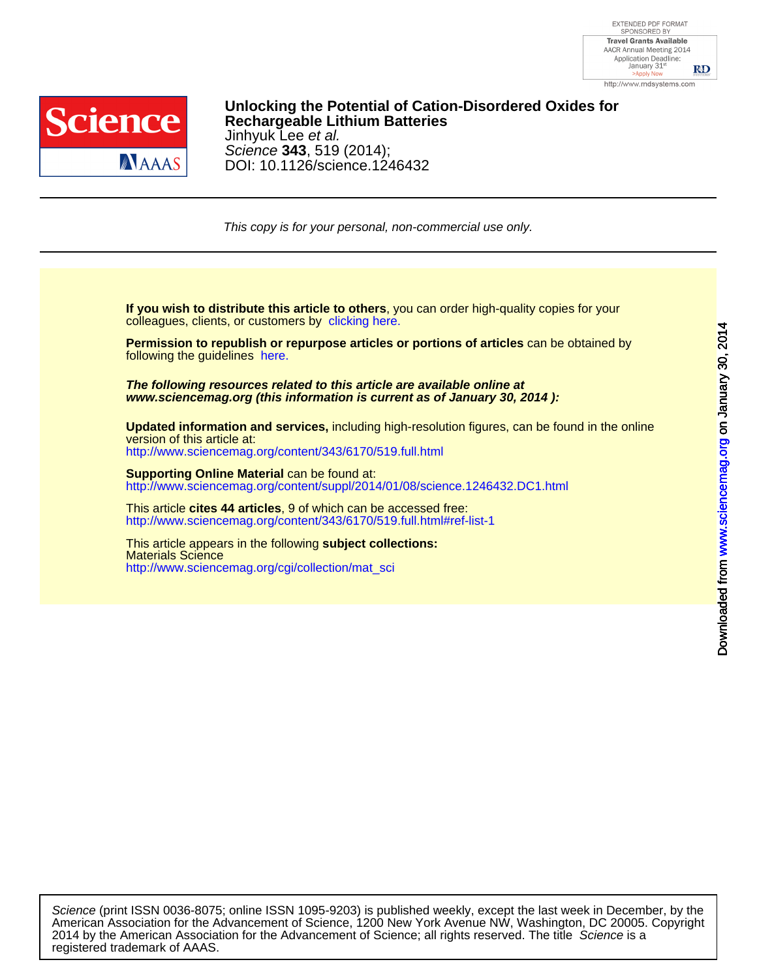

## [DOI: 10.11](http://www.sciencemag.org/)26/science.1246432 Science **343**, 519 (2014); Jinhyuk Lee et al. **Re[chargeable Lithium Batteries](http://www.sciencemag.org/cgi/collection/mat_sci) Unlocking the Potential of Cation-Disordered Oxides for**

This copy is for your personal, non-commercial use only.

colleagues, clients, or customers by [clicking here.](http://www.sciencemag.org/about/permissions.dtl) **If you wish to distribute this article to others**, you can order high-quality copies for your

following the guidelines [here.](http://www.sciencemag.org/about/permissions.dtl) **Permission to republish or repurpose articles or portions of articles** can be obtained by

**www.sciencemag.org (this information is current as of January 30, 2014 ): The following resources related to this article are available online at**

<http://www.sciencemag.org/content/343/6170/519.full.html> version of this article at: **Updated information and services,** including high-resolution figures, can be found in the online

[http://www.sciencemag.org/content/suppl/2014/01/08/science.1246432.DC1.html](http://www.sciencemag.org/content/suppl/2014/01/08/science.1246432.DC1.html )  **Supporting Online Material can be found at:** 

<http://www.sciencemag.org/content/343/6170/519.full.html#ref-list-1> This article **cites 44 articles**, 9 of which can be accessed free:

[http://www.sciencemag.org/cgi/collection/mat\\_sci](http://www.sciencemag.org/cgi/collection/mat_sci) Materials Science This article appears in the following **subject collections:**

registered trademark of AAAS. 2014 by the American Association for the Advancement of Science; all rights reserved. The title Science is a American Association for the Advancement of Science, 1200 New York Avenue NW, Washington, DC 20005. Copyright Science (print ISSN 0036-8075; online ISSN 1095-9203) is published weekly, except the last week in December, by the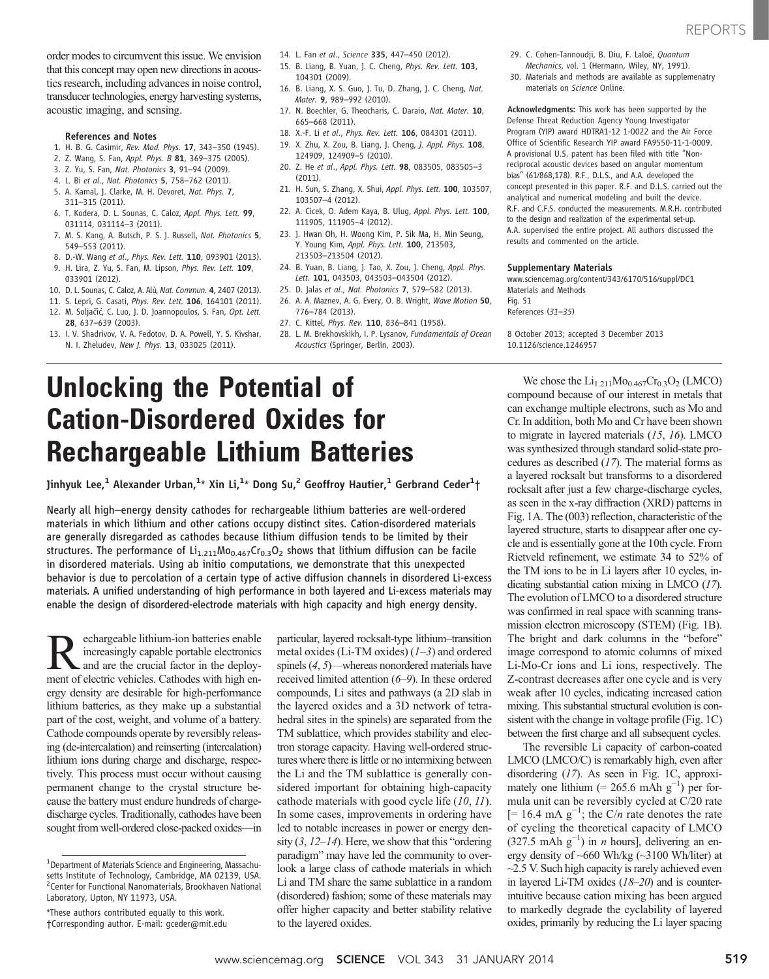order modes to circumvent this issue. We envision that this concept may open new directions in acoustics research, including advances in noise control, transducer technologies, energy harvesting systems, acoustic imaging, and sensing.

### References and Notes

- 1. H. B. G. Casimir, Rev. Mod. Phys. 17, 343–350 (1945).
- 2. Z. Wang, S. Fan, Appl. Phys. B 81, 369-375 (2005).
- 3. Z. Yu, S. Fan, Nat. Photonics 3, 91–94 (2009).
- 4. L. Bi et al., Nat. Photonics 5, 758–762 (2011).
- 5. A. Kamal, J. Clarke, M. H. Devoret, Nat. Phys. 7, 311–315 (2011).
- 6. T. Kodera, D. L. Sounas, C. Caloz, Appl. Phys. Lett. 99, 031114, 031114–3 (2011).
- 7. M. S. Kang, A. Butsch, P. S. J. Russell, Nat. Photonics 5, 549–553 (2011).
- 8. D.-W. Wang et al., Phys. Rev. Lett. 110, 093901 (2013). 9. H. Lira, Z. Yu, S. Fan, M. Lipson, Phys. Rev. Lett. 109,
- 033901 (2012).
- 10. D. L. Sounas, C. Caloz, A. Alù, Nat. Commun. 4, 2407 (2013). 11. S. Lepri, G. Casati, Phys. Rev. Lett. 106, 164101 (2011).
- 12. M. Soljačić, C. Luo, J. D. Joannopoulos, S. Fan, Opt. Lett.
- 28, 637–639 (2003).
- 13. I. V. Shadrivov, V. A. Fedotov, D. A. Powell, Y. S. Kivshar, N. I. Zheludev, New J. Phys. 13, 033025 (2011).
- 14. L. Fan et al., Science 335, 447–450 (2012).
- 15. B. Liang, B. Yuan, J. C. Cheng, Phys. Rev. Lett. 103, 104301 (2009).
- 16. B. Liang, X. S. Guo, J. Tu, D. Zhang, J. C. Cheng, Nat. Mater. 9, 989–992 (2010).
- 17. N. Boechler, G. Theocharis, C. Daraio, Nat. Mater. 10, 665–668 (2011).
- 18. X.-F. Li et al., Phys. Rev. Lett. 106, 084301 (2011).
- 19. X. Zhu, X. Zou, B. Liang, J. Cheng, J. Appl. Phys. 108, 124909, 124909–5 (2010).
- 20. Z. He et al., Appl. Phys. Lett. 98, 083505, 083505-3  $(2011)$
- 21. H. Sun, S. Zhang, X. Shui, Appl. Phys. Lett. 100, 103507, 103507–4 (2012).
- 22. A. Cicek, O. Adem Kaya, B. Ulug, Appl. Phys. Lett. 100, 111905, 111905–4 (2012).
- 23. J. Hwan Oh, H. Woong Kim, P. Sik Ma, H. Min Seung, Y. Young Kim, Appl. Phys. Lett. 100, 213503, 213503–213504 (2012).
- 24. B. Yuan, B. Liang, J. Tao, X. Zou, J. Cheng, Appl. Phys. Lett. 101, 043503, 043503–043504 (2012).
- 25. D. Jalas et al., Nat. Photonics 7, 579–582 (2013).
- 26. A. A. Maznev, A. G. Every, O. B. Wright, Wave Motion 50, 776–784 (2013).
- 27. C. Kittel, Phys. Rev. 110, 836-841 (1958).
- 28. L. M. Brekhovskikh, I. P. Lysanov, Fundamentals of Ocean Acoustics (Springer, Berlin, 2003).
- 29. C. Cohen-Tannoudji, B. Diu, F. Laloë, Quantum Mechanics, vol. 1 (Hermann, Wiley, NY, 1991).
- 30. Materials and methods are available as supplemenatry materials on Science Online.

Acknowledgments: This work has been supported by the

Defense Threat Reduction Agency Young Investigator Program (YIP) award HDTRA1-12 1-0022 and the Air Force Office of Scientific Research YIP award FA9550-11-1-0009. A provisional U.S. patent has been filed with title "Nonreciprocal acoustic devices based on angular momentum bias" (61/868,178). R.F., D.L.S., and A.A. developed the concept presented in this paper. R.F. and D.L.S. carried out the analytical and numerical modeling and built the device. R.F. and C.F.S. conducted the measurements. M.R.H. contributed to the design and realization of the experimental set-up. A.A. supervised the entire project. All authors discussed the results and commented on the article.

#### Supplementary Materials

www.sciencemag.org/content/343/6170/516/suppl/DC1 Materials and Methods Fig. S1 References (31–35)

8 October 2013; accepted 3 December 2013 10.1126/science.1246957

# Unlocking the Potential of Cation-Disordered Oxides for Rechargeable Lithium Batteries

Jinhyuk Lee, $^1$  Alexander Urban, $^{1_\star}$  Xin Li, $^{1_\star}$  Dong Su, $^2$  Geoffroy Hautier, $^1$  Gerbrand Ceder $^1\dagger$ 

Nearly all high–energy density cathodes for rechargeable lithium batteries are well-ordered materials in which lithium and other cations occupy distinct sites. Cation-disordered materials are generally disregarded as cathodes because lithium diffusion tends to be limited by their structures. The performance of  $Li_{1,211}Mo_{0,467}Cr_{0,3}O_2$  shows that lithium diffusion can be facile in disordered materials. Using ab initio computations, we demonstrate that this unexpected behavior is due to percolation of a certain type of active diffusion channels in disordered Li-excess materials. A unified understanding of high performance in both layered and Li-excess materials may enable the design of disordered-electrode materials with high capacity and high energy density.

**Reference is the control of the control of electronics**<br>and are the crucial factor in the deploy-<br>ment of electric vehicles. Cathodes with high enincreasingly capable portable electronics and are the crucial factor in the deployment of electric vehicles. Cathodes with high energy density are desirable for high-performance lithium batteries, as they make up a substantial part of the cost, weight, and volume of a battery. Cathode compounds operate by reversibly releasing (de-intercalation) and reinserting (intercalation) lithium ions during charge and discharge, respectively. This process must occur without causing permanent change to the crystal structure because the battery must endure hundreds of chargedischarge cycles. Traditionally, cathodes have been sought from well-ordered close-packed oxides—in

particular, layered rocksalt-type lithium–transition metal oxides (Li-TM oxides)  $(1-3)$  and ordered spinels (4, 5)—whereas nonordered materials have received limited attention (6–9). In these ordered compounds, Li sites and pathways (a 2D slab in the layered oxides and a 3D network of tetrahedral sites in the spinels) are separated from the TM sublattice, which provides stability and electron storage capacity. Having well-ordered structures where there is little or no intermixing between the Li and the TM sublattice is generally considered important for obtaining high-capacity cathode materials with good cycle life (10, 11). In some cases, improvements in ordering have led to notable increases in power or energy density  $(3, 12-14)$ . Here, we show that this "ordering" paradigm" may have led the community to overlook a large class of cathode materials in which Li and TM share the same sublattice in a random (disordered) fashion; some of these materials may offer higher capacity and better stability relative to the layered oxides.

We chose the  $Li_{1,211}Mo_{0,467}Cr_{0,3}O_2$  (LMCO) compound because of our interest in metals that can exchange multiple electrons, such as Mo and Cr. In addition, both Mo and Cr have been shown to migrate in layered materials (15, 16). LMCO was synthesized through standard solid-state procedures as described (17). The material forms as a layered rocksalt but transforms to a disordered rocksalt after just a few charge-discharge cycles, as seen in the x-ray diffraction (XRD) patterns in Fig. 1A. The (003) reflection, characteristic of the layered structure, starts to disappear after one cycle and is essentially gone at the 10th cycle. From Rietveld refinement, we estimate 34 to 52% of the TM ions to be in Li layers after 10 cycles, indicating substantial cation mixing in LMCO (17). The evolution of LMCO to a disordered structure was confirmed in real space with scanning transmission electron microscopy (STEM) (Fig. 1B). The bright and dark columns in the "before" image correspond to atomic columns of mixed Li-Mo-Cr ions and Li ions, respectively. The Z-contrast decreases after one cycle and is very weak after 10 cycles, indicating increased cation mixing. This substantial structural evolution is consistent with the change in voltage profile (Fig. 1C) between the first charge and all subsequent cycles.

The reversible Li capacity of carbon-coated LMCO (LMCO/C) is remarkably high, even after disordering (17). As seen in Fig. 1C, approximately one lithium (= 265.6 mAh  $g^{-1}$ ) per formula unit can be reversibly cycled at C/20 rate [= 16.4 mA  $g^{-1}$ ; the C/n rate denotes the rate of cycling the theoretical capacity of LMCO  $(327.5 \text{ mA} \text{h} \text{ g}^{-1})$  in *n* hours], delivering an energy density of ~660 Wh/kg (~3100 Wh/liter) at  $\sim$ 2.5 V. Such high capacity is rarely achieved even in layered Li-TM oxides (18–20) and is counterintuitive because cation mixing has been argued to markedly degrade the cyclability of layered oxides, primarily by reducing the Li layer spacing

<sup>&</sup>lt;sup>1</sup>Department of Materials Science and Engineering, Massachusetts Institute of Technology, Cambridge, MA 02139, USA. 2 Center for Functional Nanomaterials, Brookhaven National Laboratory, Upton, NY 11973, USA.

<sup>\*</sup>These authors contributed equally to this work. †Corresponding author. E-mail: gceder@mit.edu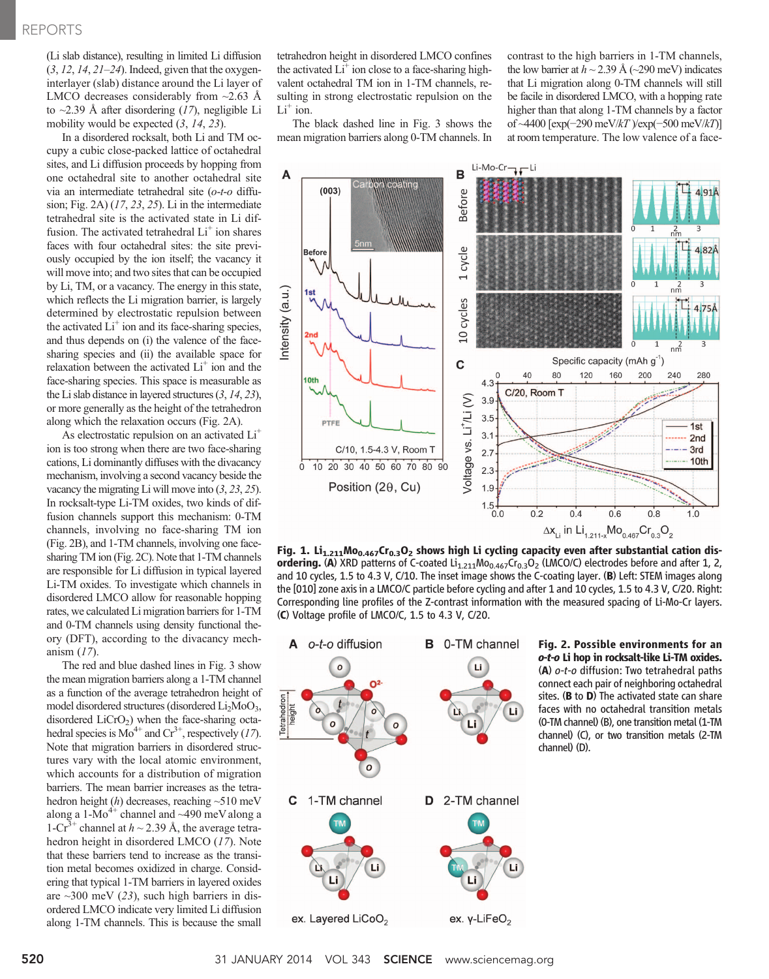(Li slab distance), resulting in limited Li diffusion  $(3, 12, 14, 21–24)$ . Indeed, given that the oxygeninterlayer (slab) distance around the Li layer of LMCO decreases considerably from  $\sim$ 2.63 Å to  $\sim$ 2.39 Å after disordering (17), negligible Li mobility would be expected  $(3, 14, 23)$ .

In a disordered rocksalt, both Li and TM occupy a cubic close-packed lattice of octahedral sites, and Li diffusion proceeds by hopping from one octahedral site to another octahedral site via an intermediate tetrahedral site (o-t-o diffusion; Fig. 2A)  $(17, 23, 25)$ . Li in the intermediate tetrahedral site is the activated state in Li diffusion. The activated tetrahedral  $Li<sup>+</sup>$  ion shares faces with four octahedral sites: the site previously occupied by the ion itself; the vacancy it will move into; and two sites that can be occupied by Li, TM, or a vacancy. The energy in this state, which reflects the Li migration barrier, is largely determined by electrostatic repulsion between the activated  $Li<sup>+</sup>$  ion and its face-sharing species, and thus depends on (i) the valence of the facesharing species and (ii) the available space for relaxation between the activated  $Li<sup>+</sup>$  ion and the face-sharing species. This space is measurable as the Li slab distance in layered structures (3, 14, 23), or more generally as the height of the tetrahedron along which the relaxation occurs (Fig. 2A).

As electrostatic repulsion on an activated Li<sup>+</sup> ion is too strong when there are two face-sharing cations, Li dominantly diffuses with the divacancy mechanism, involving a second vacancy beside the vacancy the migrating Li will move into (3, 23, 25). In rocksalt-type Li-TM oxides, two kinds of diffusion channels support this mechanism: 0-TM channels, involving no face-sharing TM ion (Fig. 2B), and 1-TM channels, involving one facesharing TM ion (Fig. 2C). Note that 1-TM channels are responsible for Li diffusion in typical layered Li-TM oxides. To investigate which channels in disordered LMCO allow for reasonable hopping rates, we calculated Li migration barriers for 1-TM and 0-TM channels using density functional theory (DFT), according to the divacancy mechanism (17).

The red and blue dashed lines in Fig. 3 show the mean migration barriers along a 1-TM channel as a function of the average tetrahedron height of model disordered structures (disordered Li<sub>2</sub>MoO<sub>3</sub>, disordered  $LiCrO<sub>2</sub>$ ) when the face-sharing octahedral species is  $Mo^{4+}$  and  $Cr^{3+}$ , respectively (17). Note that migration barriers in disordered structures vary with the local atomic environment, which accounts for a distribution of migration barriers. The mean barrier increases as the tetrahedron height  $(h)$  decreases, reaching  $~510$  meV along a 1-Mo<sup>4+</sup> channel and ~490 meV along a 1-Cr<sup>3+</sup> channel at  $h \sim 2.39$  Å, the average tetrahedron height in disordered LMCO (17). Note that these barriers tend to increase as the transition metal becomes oxidized in charge. Considering that typical 1-TM barriers in layered oxides are  $\sim$ 300 meV (23), such high barriers in disordered LMCO indicate very limited Li diffusion along 1-TM channels. This is because the small tetrahedron height in disordered LMCO confines the activated  $Li^+$  ion close to a face-sharing highvalent octahedral TM ion in 1-TM channels, resulting in strong electrostatic repulsion on the  $Li<sup>+</sup>$  ion.

The black dashed line in Fig. 3 shows the mean migration barriers along 0-TM channels. In contrast to the high barriers in 1-TM channels, the low barrier at  $h \sim 2.39$  Å ( $\sim$ 290 meV) indicates that Li migration along 0-TM channels will still be facile in disordered LMCO, with a hopping rate higher than that along 1-TM channels by a factor of ~4400 [exp(−290 meV/kT )/exp(−500 meV/kT)] at room temperature. The low valence of a face-



Fig. 1. Li<sub>1.211</sub>Mo<sub>0.467</sub>Cr<sub>0.3</sub>O<sub>2</sub> shows high Li cycling capacity even after substantial cation disordering. (A) XRD patterns of C-coated  $Li_{1.211}Mo_{0.467}Cr_{0.3}O_2$  (LMCO/C) electrodes before and after 1, 2, and 10 cycles, 1.5 to 4.3 V, C/10. The inset image shows the C-coating layer. (B) Left: STEM images along the [010] zone axis in a LMCO/C particle before cycling and after 1 and 10 cycles, 1.5 to 4.3 V, C/20. Right: Corresponding line profiles of the Z-contrast information with the measured spacing of Li-Mo-Cr layers. (C) Voltage profile of LMCO/C, 1.5 to 4.3 V, C/20.



Fig. 2. Possible environments for an o-t-o Li hop in rocksalt-like Li-TM oxides. (A) o-t-o diffusion: Two tetrahedral paths connect each pair of neighboring octahedral sites. (**B** to **D**) The activated state can share faces with no octahedral transition metals (0-TM channel) (B), one transition metal (1-TM channel) (C), or two transition metals (2-TM channel) (D).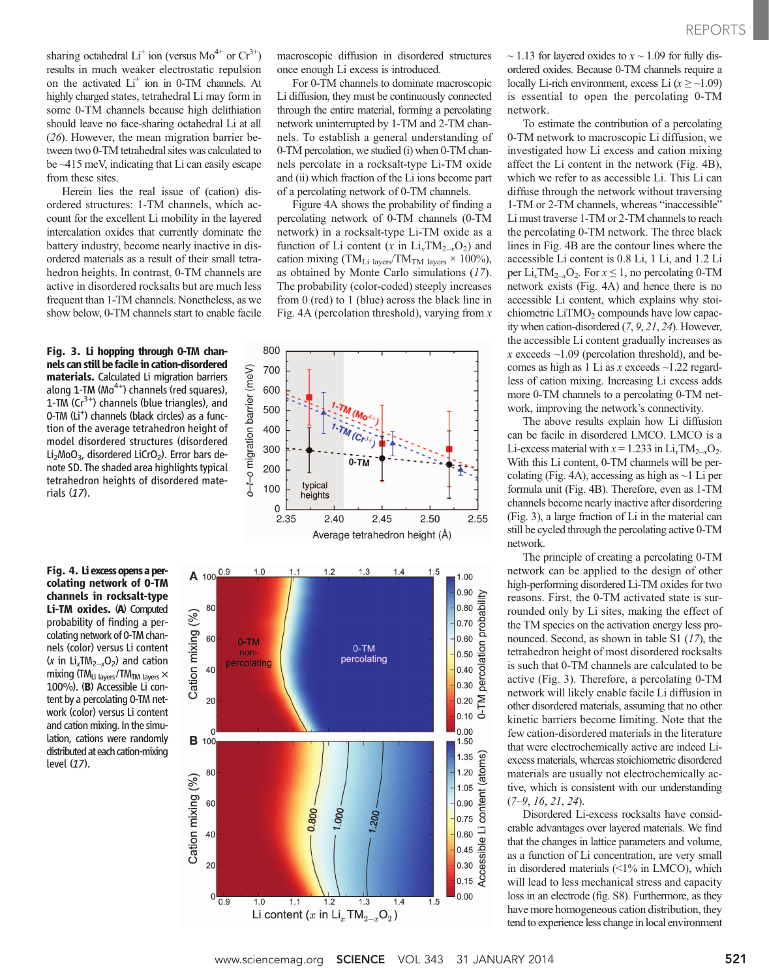sharing octahedral  $Li^+$  ion (versus  $Mo^{4+}$  or  $Cr^{3+}$ ) results in much weaker electrostatic repulsion on the activated  $Li^+$  ion in 0-TM channels. At highly charged states, tetrahedral Li may form in some 0-TM channels because high delithiation should leave no face-sharing octahedral Li at all (26). However, the mean migration barrier between two 0-TM tetrahedral sites was calculated to be ~415 meV, indicating that Li can easily escape from these sites.

Herein lies the real issue of (cation) disordered structures: 1-TM channels, which account for the excellent Li mobility in the layered intercalation oxides that currently dominate the battery industry, become nearly inactive in disordered materials as a result of their small tetrahedron heights. In contrast, 0-TM channels are active in disordered rocksalts but are much less frequent than 1-TM channels. Nonetheless, as we show below, 0-TM channels start to enable facile

Fig. 3. Li hopping through 0-TM channels can still be facile in cation-disordered materials. Calculated Li migration barriers along  $1$ -TM (Mo<sup>4+</sup>) channels (red squares), 1-TM  $(Cr^{3+})$  channels (blue triangles), and 0-TM (Li<sup>+</sup>) channels (black circles) as a function of the average tetrahedron height of model disordered structures (disordered Li<sub>2</sub>MoO<sub>3</sub>, disordered LiCrO<sub>2</sub>). Error bars denote SD. The shaded area highlights typical tetrahedron heights of disordered materials (17).

Fig. 4. Liexcessopens a percolating network of 0-TM channels in rocksalt-type Li-TM oxides. (A) Computed probability of finding a percolating network of 0-TM channels (color) versus Li content (x in  $Li_xTM_{2-x}O_2$ ) and cation mixing (TM $_{Li\;lavers}$ /TM $_{TM\;lavers}$   $\times$ 100%). (B) Accessible Li content by a percolating 0-TM network (color) versus Li content and cation mixing. In the simulation, cations were randomly distributed at each cation-mixing level (17).

macroscopic diffusion in disordered structures once enough Li excess is introduced.

For 0-TM channels to dominate macroscopic Li diffusion, they must be continuously connected through the entire material, forming a percolating network uninterrupted by 1-TM and 2-TM channels. To establish a general understanding of 0-TM percolation, we studied (i) when 0-TM channels percolate in a rocksalt-type Li-TM oxide and (ii) which fraction of the Li ions become part of a percolating network of 0-TM channels.

Figure 4A shows the probability of finding a percolating network of 0-TM channels (0-TM network) in a rocksalt-type Li-TM oxide as a function of Li content (x in  $Li_xTM_{2-x}O_2$ ) and cation mixing (TM<sub>Li layers</sub>/TM<sub>TM layers</sub>  $\times$  100%), as obtained by Monte Carlo simulations (17). The probability (color-coded) steeply increases from 0 (red) to 1 (blue) across the black line in Fig. 4A (percolation threshold), varying from  $x$ 





 $\sim$  1.13 for layered oxides to  $x \sim 1.09$  for fully disordered oxides. Because 0-TM channels require a locally Li-rich environment, excess Li  $(x \geq \sim 1.09)$ is essential to open the percolating 0-TM network.

To estimate the contribution of a percolating 0-TM network to macroscopic Li diffusion, we investigated how Li excess and cation mixing affect the Li content in the network (Fig. 4B), which we refer to as accessible Li. This Li can diffuse through the network without traversing 1-TM or 2-TM channels, whereas "inaccessible" Li must traverse 1-TM or 2-TM channels to reach the percolating 0-TM network. The three black lines in Fig. 4B are the contour lines where the accessible Li content is 0.8 Li, 1 Li, and 1.2 Li per  $Li_xTM_{2-x}O_2$ . For  $x \le 1$ , no percolating 0-TM network exists (Fig. 4A) and hence there is no accessible Li content, which explains why stoichiometric  $LiTMO<sub>2</sub>$  compounds have low capacity when cation-disordered (7, 9, 21, 24). However, the accessible Li content gradually increases as  $x$  exceeds  $\sim$ 1.09 (percolation threshold), and becomes as high as 1 Li as x exceeds  $\sim$ 1.22 regardless of cation mixing. Increasing Li excess adds more 0-TM channels to a percolating 0-TM network, improving the network's connectivity.

The above results explain how Li diffusion can be facile in disordered LMCO. LMCO is a Li-excess material with  $x = 1.233$  in Li<sub>x</sub>TM<sub>2-x</sub>O<sub>2</sub>. With this Li content, 0-TM channels will be percolating (Fig. 4A), accessing as high as  $\sim$ 1 Li per formula unit (Fig. 4B). Therefore, even as 1-TM channels become nearly inactive after disordering (Fig. 3), a large fraction of Li in the material can still be cycled through the percolating active 0-TM network.

The principle of creating a percolating 0-TM network can be applied to the design of other high-performing disordered Li-TM oxides for two reasons. First, the 0-TM activated state is surrounded only by Li sites, making the effect of the TM species on the activation energy less pronounced. Second, as shown in table S1 (17), the tetrahedron height of most disordered rocksalts is such that 0-TM channels are calculated to be active (Fig. 3). Therefore, a percolating 0-TM network will likely enable facile Li diffusion in other disordered materials, assuming that no other kinetic barriers become limiting. Note that the few cation-disordered materials in the literature that were electrochemically active are indeed Liexcess materials, whereas stoichiometric disordered materials are usually not electrochemically active, which is consistent with our understanding  $(7-9, 16, 21, 24)$ .

Disordered Li-excess rocksalts have considerable advantages over layered materials. We find that the changes in lattice parameters and volume, as a function of Li concentration, are very small in disordered materials (<1% in LMCO), which will lead to less mechanical stress and capacity loss in an electrode (fig. S8). Furthermore, as they have more homogeneous cation distribution, they tend to experience less change in local environment